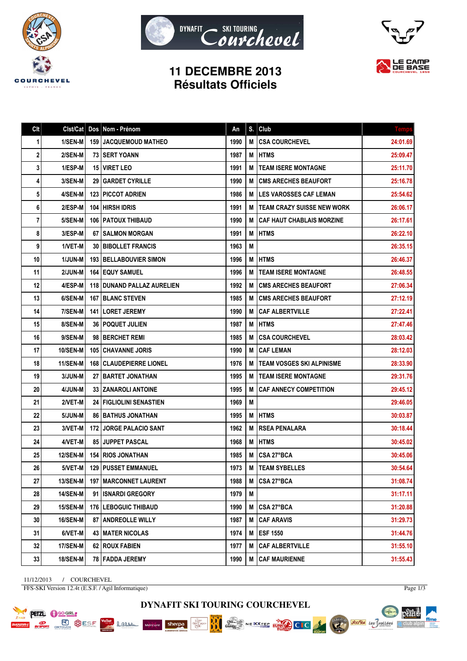





## **11 DECEMBRE 2013 Résultats Officiels**

| Clt | Clst/Cat        | Dos   Nom - Prénom               | <b>An</b> | S. | <b>Club</b>                       | <b>Temps</b> |
|-----|-----------------|----------------------------------|-----------|----|-----------------------------------|--------------|
| 1   | 1/SEN-M         | <b>159   JACQUEMOUD MATHEO</b>   | 1990      | M  | <b>CSA COURCHEVEL</b>             | 24:01.69     |
| 2   | 2/SEN-M         | <b>73 ISERT YOANN</b>            | 1987      | М  | <b>HTMS</b>                       | 25:09.47     |
| 3   | 1/ESP-M         | <b>15   VIRET LEO</b>            | 1991      | M  | <b>TEAM ISERE MONTAGNE</b>        | 25:11.70     |
| 4   | 3/SEN-M         | <b>29   GARDET CYRILLE</b>       | 1990      | M  | <b>CMS ARECHES BEAUFORT</b>       | 25:16.78     |
| 5   | 4/SEN-M         | <b>123 PICCOT ADRIEN</b>         | 1986      | M  | <b>LES VAROSSES CAF LEMAN</b>     | 25:54.62     |
| 6   | 2/ESP-M         | 104 HIRSH IDRIS                  | 1991      | М  | <b>TEAM CRAZY SUISSE NEW WORK</b> | 26:06.17     |
| 7   | 5/SEN-M         | <b>106   PATOUX THIBAUD</b>      | 1990      | M  | <b>CAF HAUT CHABLAIS MORZINE</b>  | 26:17.61     |
| 8   | 3/ESP-M         | 67 SALMON MORGAN                 | 1991      | М  | <b>HTMS</b>                       | 26:22.10     |
| 9   | 1/VET-M         | <b>30   BIBOLLET FRANCIS</b>     | 1963      | M  |                                   | 26:35.15     |
| 10  | 1/JUN-M         | <b>193   BELLABOUVIER SIMON</b>  | 1996      | М  | <b>HTMS</b>                       | 26:46.37     |
| 11  | 2/JUN-M         | <b>164   EQUY SAMUEL</b>         | 1996      | M  | <b>TEAM ISERE MONTAGNE</b>        | 26:48.55     |
| 12  | 4/ESP-M         | 118   DUNAND PALLAZ AURELIEN     | 1992      | M  | <b>CMS ARECHES BEAUFORT</b>       | 27:06.34     |
| 13  | 6/SEN-M         | <b>167   BLANC STEVEN</b>        | 1985      | M  | <b>CMS ARECHES BEAUFORT</b>       | 27:12.19     |
| 14  | 7/SEN-M         | 141   LORET JEREMY               | 1990      | M  | <b>CAF ALBERTVILLE</b>            | 27:22.41     |
| 15  | 8/SEN-M         | <b>36   POQUET JULIEN</b>        | 1987      | M  | <b>HTMS</b>                       | 27:47.46     |
| 16  | 9/SEN-M         | 98 BERCHET REMI                  | 1985      | M  | <b>CSA COURCHEVEL</b>             | 28:03.42     |
| 17  | 10/SEN-M        | <b>105 CHAVANNE JORIS</b>        | 1990      | M  | <b>CAF LEMAN</b>                  | 28:12.03     |
| 18  | <b>11/SEN-M</b> | <b>168   CLAUDEPIERRE LIONEL</b> | 1976      | M  | <b>TEAM VOSGES SKI ALPINISME</b>  | 28:33.90     |
| 19  | 3/JUN-M         | 27   BARTET JONATHAN             | 1995      | M  | <b>TEAM ISERE MONTAGNE</b>        | 29:31.76     |
| 20  | 4/JUN-M         | 33 ZANAROLI ANTOINE              | 1995      | M  | <b>CAF ANNECY COMPETITION</b>     | 29:45.12     |
| 21  | 2/VET-M         | 24   FIGLIOLINI SENASTIEN        | 1969      | М  |                                   | 29:46.05     |
| 22  | 5/JUN-M         | <b>86   BATHUS JONATHAN</b>      | 1995      | M  | <b>HTMS</b>                       | 30:03.87     |
| 23  | 3/VET-M         | <b>172   JORGE PALACIO SANT</b>  | 1962      | М  | <b>RSEA PENALARA</b>              | 30:18.44     |
| 24  | 4/VET-M         | <b>85 JUPPET PASCAL</b>          | 1968      | M  | <b>HTMS</b>                       | 30:45.02     |
| 25  | 12/SEN-M        | <b>154   RIOS JONATHAN</b>       | 1985      | М  | CSA 27°BCA                        | 30:45.06     |
| 26  | 5/VET-M         | <b>129 PUSSET EMMANUEL</b>       | 1973      | M  | <b>TEAM SYBELLES</b>              | 30:54.64     |
| 27  | <b>13/SEN-M</b> | 197   MARCONNET LAURENT          | 1988      | M  | CSA 27°BCA                        | 31:08.74     |
| 28  | <b>14/SEN-M</b> | 91 ISNARDI GREGORY               | 1979      | M  |                                   | 31:17.11     |
| 29  | 15/SEN-M        | 176   LEBOGUIC THIBAUD           | 1990      | M  | CSA 27°BCA                        | 31:20.88     |
| 30  | 16/SEN-M        | 87 ANDREOLLE WILLY               | 1987      | M  | <b>CAF ARAVIS</b>                 | 31:29.73     |
| 31  | 6/VET-M         | <b>43 IMATER NICOLAS</b>         | 1974      | M  | <b>ESF 1550</b>                   | 31:44.76     |
| 32  | 17/SEN-M        | 62 ROUX FABIEN                   | 1977      | Μ  | <b>CAF ALBERTVILLE</b>            | 31:55.10     |
| 33  | <b>18/SEN-M</b> | 78   FADDA JEREMY                | 1990      | M  | <b>CAF MAURIENNE</b>              | 31:55.43     |

11/12/2013 / COURCHEVEL FFS-SKI Version 12.4t (E.S.F. / Agil Informatique)

PETZL OGOGIRL

**PORT BUSE OF STRAP STRAP SESF** 

Lamen

Page  $1/3$ 

pearts.

itra club alpin∆

ffme

**Société des Vallées** 

**DYNAFIT SKI TOURING COURCHEVEL**

NEXXTEE EUROPE CLC

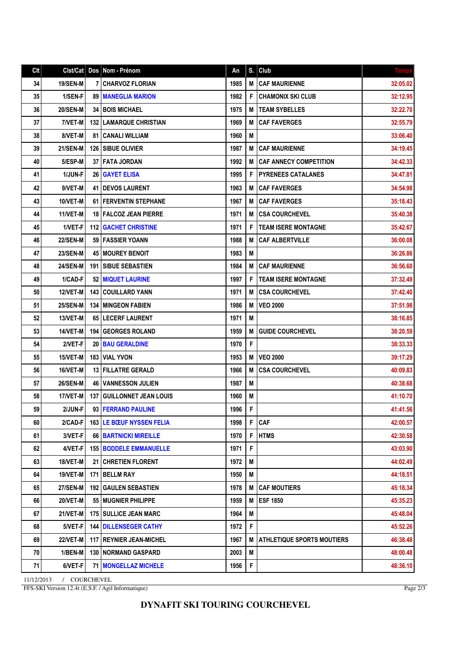## **DYNAFIT SKI TOURING COURCHEVEL**

11/12/2013 / COURCHEVEL FFS-SKI Version 12.4t (E.S.F. / Agil Informatique)

| Cl <sub>t</sub> | Cist/Cat   Dos  |     | Nom - Prénom                     | An   | S. | Club                              | <b>Temps</b> |
|-----------------|-----------------|-----|----------------------------------|------|----|-----------------------------------|--------------|
| 34              | 19/SEN-M        | 7 I | CHARVOZ FLORIAN                  | 1985 | М  | <b>CAF MAURIENNE</b>              | 32:05.02     |
| 35              | 1/SEN-F         |     | <b>89 I MANEGLIA MARION</b>      | 1982 | F  | <b>CHAMONIX SKI CLUB</b>          | 32:12.95     |
| 36              | 20/SEN-M        |     | <b>34 BOIS MICHAEL</b>           | 1975 | М  | <b>TEAM SYBELLES</b>              | 32:22.70     |
| 37              | 7/VET-M         |     | <b>132   LAMARQUE CHRISTIAN</b>  | 1969 | М  | <b>CAF FAVERGES</b>               | 32:55.79     |
| 38              | 8/VET-M         |     | <b>81 CANALI WILLIAM</b>         | 1960 | М  |                                   | 33:06.40     |
| 39              | 21/SEN-M        |     | 126   SIBUE OLIVIER              | 1987 | М  | <b>CAF MAURIENNE</b>              | 34:19.45     |
| 40              | 5/ESP-M         |     | <b>37 I FATA JORDAN</b>          | 1992 | М  | <b>CAF ANNECY COMPETITION</b>     | 34:42.33     |
| 41              | 1/JUN-F         |     | <b>26 GAYET ELISA</b>            | 1995 | F  | <b>PYRENEES CATALANES</b>         | 34:47.81     |
| 42              | 9/VET-M         |     | 41   DEVOS LAURENT               | 1963 | М  | <b>CAF FAVERGES</b>               | 34:54.98     |
| 43              | 10/VET-M        |     | <b>61 FERVENTIN STEPHANE</b>     | 1967 | М  | <b>CAF FAVERGES</b>               | 35:18.43     |
| 44              | <b>11/VET-M</b> |     | <b>18   FALCOZ JEAN PIERRE</b>   | 1971 | М  | <b>CSA COURCHEVEL</b>             | 35:40.38     |
| 45              | 1/VET-F         |     | <b>112 GACHET CHRISTINE</b>      | 1971 | F  | <b>TEAM ISERE MONTAGNE</b>        | 35:42.67     |
| 46              | <b>22/SEN-M</b> |     | <b>59 I FASSIER YOANN</b>        | 1988 | М  | <b>CAF ALBERTVILLE</b>            | 36:00.08     |
| 47              | <b>23/SEN-M</b> |     | <b>45 MOUREY BENOIT</b>          | 1983 | М  |                                   | 36:26.86     |
| 48              | <b>24/SEN-M</b> |     | <b>191 I SIBUE SEBASTIEN</b>     | 1984 | М  | <b>CAF MAURIENNE</b>              | 36:56.60     |
| 49              | 1/CAD-F         |     | 52   MIQUET LAURINE              | 1997 | F  | <b>TEAM ISERE MONTAGNE</b>        | 37:32.49     |
| 50              | 12/VET-M        |     | <b>143 COUILLARD YANN</b>        | 1971 | М  | <b>CSA COURCHEVEL</b>             | 37:42.40     |
| 51              | 25/SEN-M        |     | <b>134 MINGEON FABIEN</b>        | 1986 | М  | <b>VEO 2000</b>                   | 37:51.98     |
| 52              | 13/VET-M        |     | 65   LECERF LAURENT              | 1971 | M  |                                   | 38:16.85     |
| 53              | 14/VET-M        |     | <b>194 GEORGES ROLAND</b>        | 1959 | М  | <b>GUIDE COURCHEVEL</b>           | 38:20.59     |
| 54              | 2/VET-F         |     | <b>20   BAU GERALDINE</b>        | 1970 | F  |                                   | 38:33.33     |
| 55              | 15/VET-M        |     | <b>183   VIAL YVON</b>           | 1953 | М  | <b>VEO 2000</b>                   | 39:17.29     |
| 56              | 16/VET-M        |     | <b>13 FILLATRE GERALD</b>        | 1966 | М  | <b>CSA COURCHEVEL</b>             | 40:09.83     |
| 57              | 26/SEN-M        |     | <b>46   VANNESSON JULIEN</b>     | 1987 | M  |                                   | 40:38.68     |
| 58              | 17/VET-M        |     | <b>137 GUILLONNET JEAN LOUIS</b> | 1960 | M  |                                   | 41:10.70     |
| 59              | 2/JUN-F         |     | 93   FERRAND PAULINE             | 1996 | F  |                                   | 41:41.56     |
| 60              | $2/CAD-F$       |     | <b>163 LE BŒUF NYSSEN FELIA</b>  | 1998 | F  | <b>CAF</b>                        | 42:00.57     |
| 61              | 3/VET-F         |     | <b>66 BARTNICKI MIREILLE</b>     | 1970 | F  | <b>HTMS</b>                       | 42:30.58     |
| 62              | 4/VET-F         |     | <b>155   BODDELE EMMANUELLE</b>  | 1971 | F  |                                   | 43:03.90     |
| 63              | 18/VET-M        |     | 21   CHRETIEN FLORENT            | 1972 | M  |                                   | 44:02.49     |
| 64              | <b>19/VET-M</b> |     | 171   BELLM RAY                  | 1950 | M  |                                   | 44:18.51     |
| 65              | <b>27/SEN-M</b> |     | <b>192 GAULEN SEBASTIEN</b>      | 1978 | M  | <b>CAF MOUTIERS</b>               | 45:18.34     |
| 66              | 20/VET-M        |     | 55   MUGNIER PHILIPPE            | 1959 | М  | <b>ESF 1850</b>                   | 45:35.23     |
| 67              | 21/VET-M        |     | <b>175 SULLICE JEAN MARC</b>     | 1964 | M  |                                   | 45:48.04     |
| 68              | $5/VET-F$       |     | <b>144   DILLENSEGER CATHY</b>   | 1972 | F  |                                   | 45:52.26     |
| 69              | <b>22/VET-M</b> |     | <b>117   REYNIER JEAN-MICHEL</b> | 1967 | M  | <b>ATHLETIQUE SPORTS MOUTIERS</b> | 46:38.48     |
| 70              | $1/BEN-M$       |     | <b>130   NORMAND GASPARD</b>     | 2003 | М  |                                   | 48:00.48     |
| 71              | 6/VET-F         |     | <b>71   MONGELLAZ MICHELE</b>    | 1956 | F  |                                   | 48:36.10     |